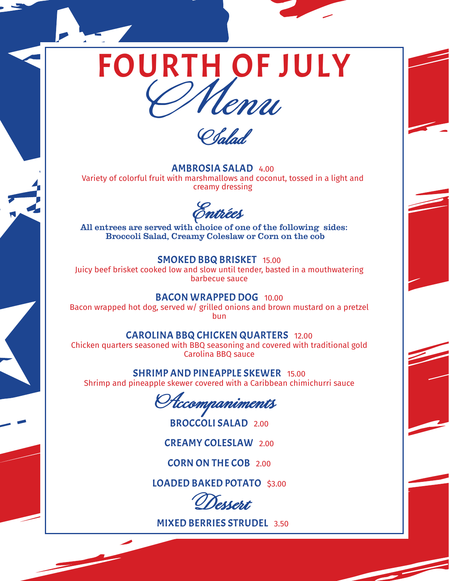## FOURTH OF JULY<br>Chenu



AMBROSIA SALAD 4.00 Variety of colorful fruit with marshmallows and coconut, tossed in a light and creamy dressing

**Entrées**

All entrees are served with choice of one of the following sides: Broccoli Salad, Creamy Coleslaw or Corn on the cob

## SMOKED BBQ BRISKET 15.00

Juicy beef brisket cooked low and slow until tender, basted in a mouthwatering barbecue sauce

BACON WRAPPED DOG 10.00

Bacon wrapped hot dog, served w/ grilled onions and brown mustard on a pretzel bun

## CAROLINA BBQ CHICKEN QUARTERS 12.00

Chicken quarters seasoned with BBQ seasoning and covered with traditional gold Carolina BBQ sauce

SHRIMP AND PINEAPPLE SKEWER 15.00

Shrimp and pineapple skewer covered with a Caribbean chimichurri sauce

**Accompaniments**

BROCCOLI SALAD 2.00

CREAMY COLESLAW 2.00

CORN ON THE COB 2.00

LOADED BAKED POTATO \$3.00

**Dessert**

MIXED BERRIES STRUDEL 3.50